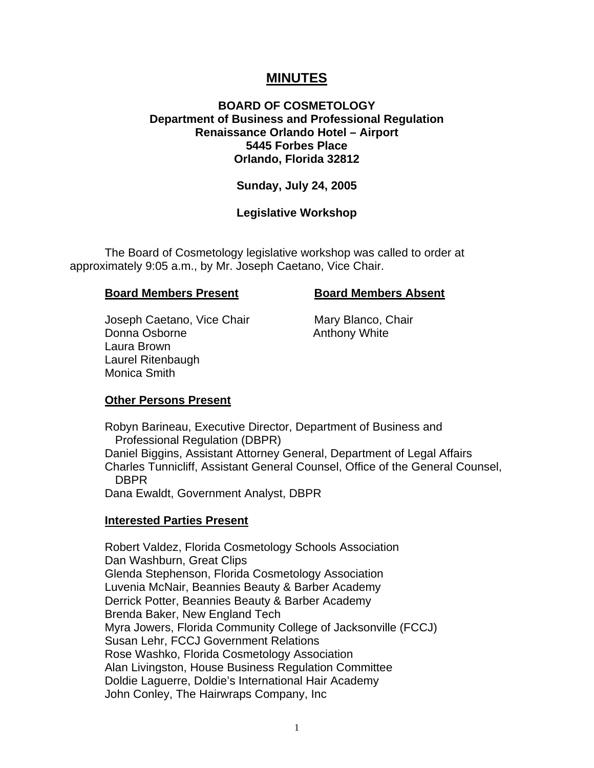# **MINUTES**

# **BOARD OF COSMETOLOGY Department of Business and Professional Regulation Renaissance Orlando Hotel – Airport 5445 Forbes Place Orlando, Florida 32812**

#### **Sunday, July 24, 2005**

# **Legislative Workshop**

The Board of Cosmetology legislative workshop was called to order at approximately 9:05 a.m., by Mr. Joseph Caetano, Vice Chair.

#### **Board Members Present Board Members Absent**

Joseph Caetano, Vice Chair Mary Blanco, Chair Donna Osborne **Anthony White**  Laura Brown Laurel Ritenbaugh Monica Smith

#### **Other Persons Present**

Robyn Barineau, Executive Director, Department of Business and Professional Regulation (DBPR) Daniel Biggins, Assistant Attorney General, Department of Legal Affairs Charles Tunnicliff, Assistant General Counsel, Office of the General Counsel, DBPR

Dana Ewaldt, Government Analyst, DBPR

#### **Interested Parties Present**

Robert Valdez, Florida Cosmetology Schools Association Dan Washburn, Great Clips Glenda Stephenson, Florida Cosmetology Association Luvenia McNair, Beannies Beauty & Barber Academy Derrick Potter, Beannies Beauty & Barber Academy Brenda Baker, New England Tech Myra Jowers, Florida Community College of Jacksonville (FCCJ) Susan Lehr, FCCJ Government Relations Rose Washko, Florida Cosmetology Association Alan Livingston, House Business Regulation Committee Doldie Laguerre, Doldie's International Hair Academy John Conley, The Hairwraps Company, Inc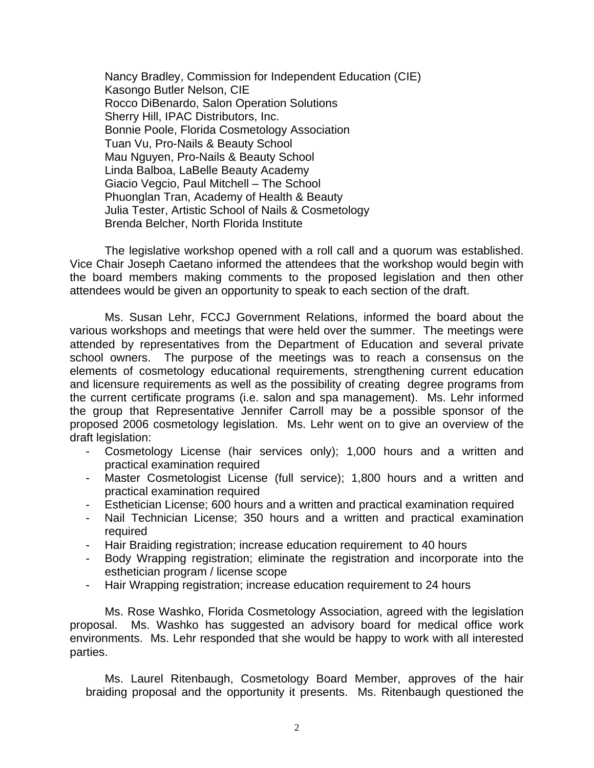Nancy Bradley, Commission for Independent Education (CIE) Kasongo Butler Nelson, CIE Rocco DiBenardo, Salon Operation Solutions Sherry Hill, IPAC Distributors, Inc. Bonnie Poole, Florida Cosmetology Association Tuan Vu, Pro-Nails & Beauty School Mau Nguyen, Pro-Nails & Beauty School Linda Balboa, LaBelle Beauty Academy Giacio Vegcio, Paul Mitchell – The School Phuonglan Tran, Academy of Health & Beauty Julia Tester, Artistic School of Nails & Cosmetology Brenda Belcher, North Florida Institute

The legislative workshop opened with a roll call and a quorum was established. Vice Chair Joseph Caetano informed the attendees that the workshop would begin with the board members making comments to the proposed legislation and then other attendees would be given an opportunity to speak to each section of the draft.

Ms. Susan Lehr, FCCJ Government Relations, informed the board about the various workshops and meetings that were held over the summer. The meetings were attended by representatives from the Department of Education and several private school owners. The purpose of the meetings was to reach a consensus on the elements of cosmetology educational requirements, strengthening current education and licensure requirements as well as the possibility of creating degree programs from the current certificate programs (i.e. salon and spa management). Ms. Lehr informed the group that Representative Jennifer Carroll may be a possible sponsor of the proposed 2006 cosmetology legislation. Ms. Lehr went on to give an overview of the draft legislation:

- Cosmetology License (hair services only); 1,000 hours and a written and practical examination required
- Master Cosmetologist License (full service); 1,800 hours and a written and practical examination required
- Esthetician License; 600 hours and a written and practical examination required
- Nail Technician License; 350 hours and a written and practical examination required
- Hair Braiding registration; increase education requirement to 40 hours
- Body Wrapping registration; eliminate the registration and incorporate into the esthetician program / license scope
- Hair Wrapping registration; increase education requirement to 24 hours

Ms. Rose Washko, Florida Cosmetology Association, agreed with the legislation proposal. Ms. Washko has suggested an advisory board for medical office work environments. Ms. Lehr responded that she would be happy to work with all interested parties.

Ms. Laurel Ritenbaugh, Cosmetology Board Member, approves of the hair braiding proposal and the opportunity it presents. Ms. Ritenbaugh questioned the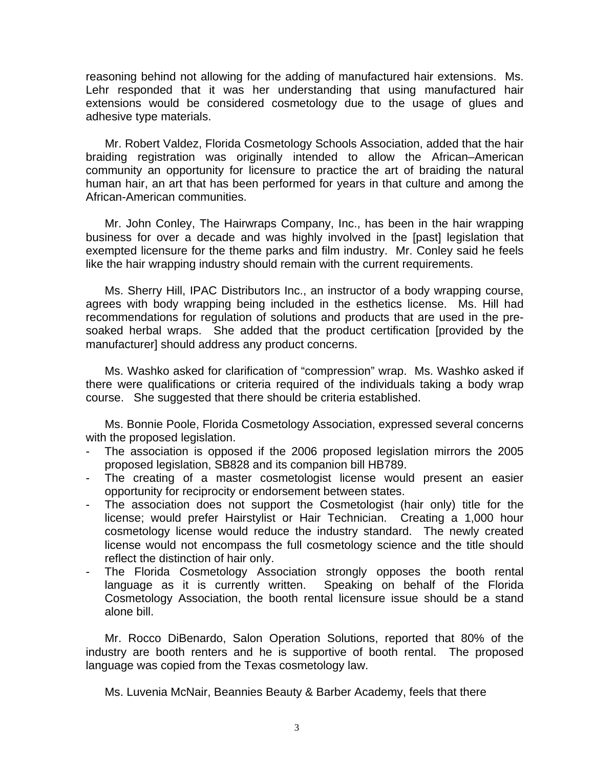reasoning behind not allowing for the adding of manufactured hair extensions. Ms. Lehr responded that it was her understanding that using manufactured hair extensions would be considered cosmetology due to the usage of glues and adhesive type materials.

 Mr. Robert Valdez, Florida Cosmetology Schools Association, added that the hair braiding registration was originally intended to allow the African–American community an opportunity for licensure to practice the art of braiding the natural human hair, an art that has been performed for years in that culture and among the African-American communities.

Mr. John Conley, The Hairwraps Company, Inc., has been in the hair wrapping business for over a decade and was highly involved in the [past] legislation that exempted licensure for the theme parks and film industry. Mr. Conley said he feels like the hair wrapping industry should remain with the current requirements.

Ms. Sherry Hill, IPAC Distributors Inc., an instructor of a body wrapping course, agrees with body wrapping being included in the esthetics license. Ms. Hill had recommendations for regulation of solutions and products that are used in the presoaked herbal wraps. She added that the product certification [provided by the manufacturer] should address any product concerns.

Ms. Washko asked for clarification of "compression" wrap. Ms. Washko asked if there were qualifications or criteria required of the individuals taking a body wrap course. She suggested that there should be criteria established.

Ms. Bonnie Poole, Florida Cosmetology Association, expressed several concerns with the proposed legislation.

- The association is opposed if the 2006 proposed legislation mirrors the 2005 proposed legislation, SB828 and its companion bill HB789.
- The creating of a master cosmetologist license would present an easier opportunity for reciprocity or endorsement between states.
- The association does not support the Cosmetologist (hair only) title for the license; would prefer Hairstylist or Hair Technician. Creating a 1,000 hour cosmetology license would reduce the industry standard. The newly created license would not encompass the full cosmetology science and the title should reflect the distinction of hair only.
- The Florida Cosmetology Association strongly opposes the booth rental language as it is currently written. Speaking on behalf of the Florida Cosmetology Association, the booth rental licensure issue should be a stand alone bill.

Mr. Rocco DiBenardo, Salon Operation Solutions, reported that 80% of the industry are booth renters and he is supportive of booth rental. The proposed language was copied from the Texas cosmetology law.

Ms. Luvenia McNair, Beannies Beauty & Barber Academy, feels that there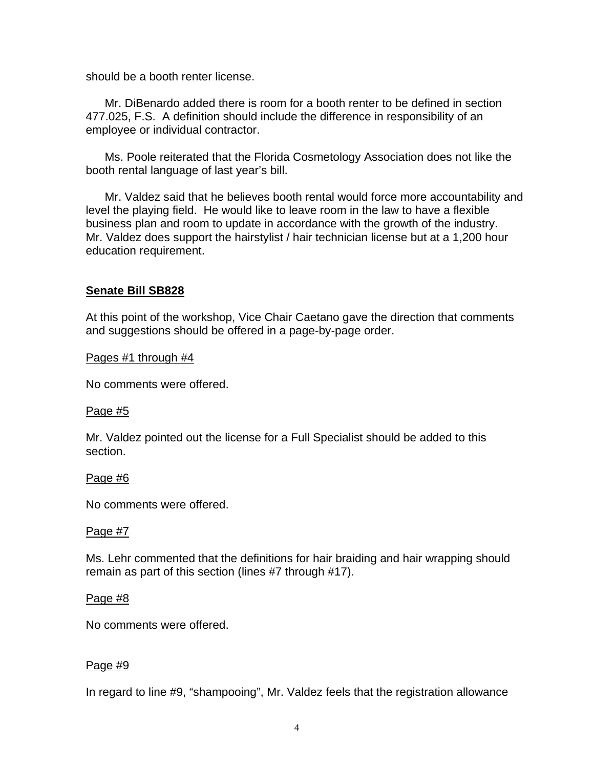should be a booth renter license.

Mr. DiBenardo added there is room for a booth renter to be defined in section 477.025, F.S. A definition should include the difference in responsibility of an employee or individual contractor.

Ms. Poole reiterated that the Florida Cosmetology Association does not like the booth rental language of last year's bill.

Mr. Valdez said that he believes booth rental would force more accountability and level the playing field. He would like to leave room in the law to have a flexible business plan and room to update in accordance with the growth of the industry. Mr. Valdez does support the hairstylist / hair technician license but at a 1,200 hour education requirement.

# **Senate Bill SB828**

At this point of the workshop, Vice Chair Caetano gave the direction that comments and suggestions should be offered in a page-by-page order.

Pages #1 through #4

No comments were offered.

#### Page #5

Mr. Valdez pointed out the license for a Full Specialist should be added to this section.

#### Page #6

No comments were offered.

#### Page #7

Ms. Lehr commented that the definitions for hair braiding and hair wrapping should remain as part of this section (lines #7 through #17).

#### Page #8

No comments were offered.

#### Page #9

In regard to line #9, "shampooing", Mr. Valdez feels that the registration allowance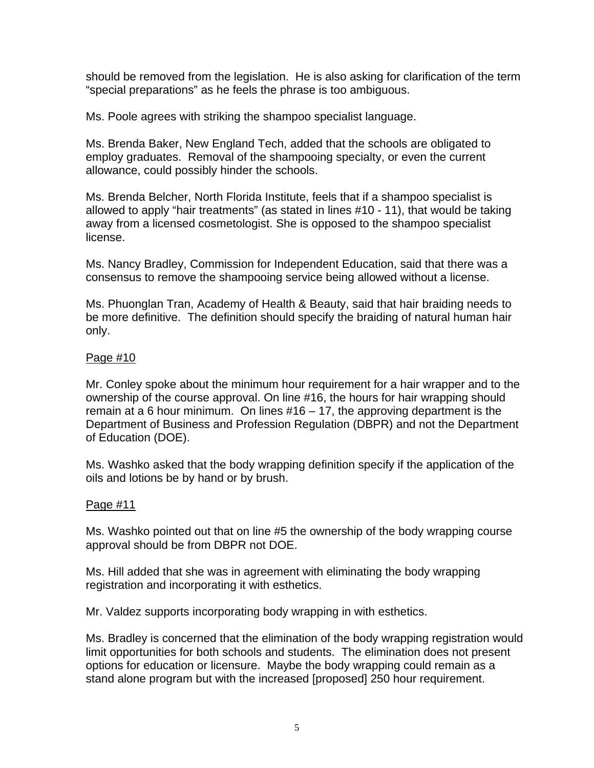should be removed from the legislation. He is also asking for clarification of the term "special preparations" as he feels the phrase is too ambiguous.

Ms. Poole agrees with striking the shampoo specialist language.

Ms. Brenda Baker, New England Tech, added that the schools are obligated to employ graduates. Removal of the shampooing specialty, or even the current allowance, could possibly hinder the schools.

Ms. Brenda Belcher, North Florida Institute, feels that if a shampoo specialist is allowed to apply "hair treatments" (as stated in lines #10 - 11), that would be taking away from a licensed cosmetologist. She is opposed to the shampoo specialist license.

Ms. Nancy Bradley, Commission for Independent Education, said that there was a consensus to remove the shampooing service being allowed without a license.

Ms. Phuonglan Tran, Academy of Health & Beauty, said that hair braiding needs to be more definitive. The definition should specify the braiding of natural human hair only.

## Page #10

Mr. Conley spoke about the minimum hour requirement for a hair wrapper and to the ownership of the course approval. On line #16, the hours for hair wrapping should remain at a 6 hour minimum. On lines #16 – 17, the approving department is the Department of Business and Profession Regulation (DBPR) and not the Department of Education (DOE).

Ms. Washko asked that the body wrapping definition specify if the application of the oils and lotions be by hand or by brush.

# Page #11

Ms. Washko pointed out that on line #5 the ownership of the body wrapping course approval should be from DBPR not DOE.

Ms. Hill added that she was in agreement with eliminating the body wrapping registration and incorporating it with esthetics.

Mr. Valdez supports incorporating body wrapping in with esthetics.

Ms. Bradley is concerned that the elimination of the body wrapping registration would limit opportunities for both schools and students. The elimination does not present options for education or licensure. Maybe the body wrapping could remain as a stand alone program but with the increased [proposed] 250 hour requirement.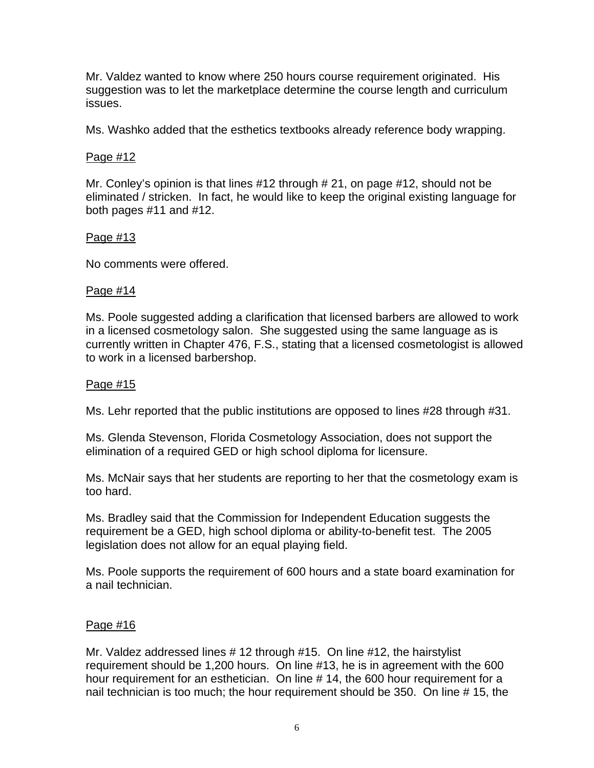Mr. Valdez wanted to know where 250 hours course requirement originated. His suggestion was to let the marketplace determine the course length and curriculum issues.

Ms. Washko added that the esthetics textbooks already reference body wrapping.

# Page #12

Mr. Conley's opinion is that lines #12 through # 21, on page #12, should not be eliminated / stricken. In fact, he would like to keep the original existing language for both pages #11 and #12.

## Page #13

No comments were offered.

## Page #14

Ms. Poole suggested adding a clarification that licensed barbers are allowed to work in a licensed cosmetology salon. She suggested using the same language as is currently written in Chapter 476, F.S., stating that a licensed cosmetologist is allowed to work in a licensed barbershop.

## Page #15

Ms. Lehr reported that the public institutions are opposed to lines #28 through #31.

Ms. Glenda Stevenson, Florida Cosmetology Association, does not support the elimination of a required GED or high school diploma for licensure.

Ms. McNair says that her students are reporting to her that the cosmetology exam is too hard.

Ms. Bradley said that the Commission for Independent Education suggests the requirement be a GED, high school diploma or ability-to-benefit test. The 2005 legislation does not allow for an equal playing field.

Ms. Poole supports the requirement of 600 hours and a state board examination for a nail technician.

# Page #16

Mr. Valdez addressed lines # 12 through #15. On line #12, the hairstylist requirement should be 1,200 hours. On line #13, he is in agreement with the 600 hour requirement for an esthetician. On line #14, the 600 hour requirement for a nail technician is too much; the hour requirement should be 350. On line # 15, the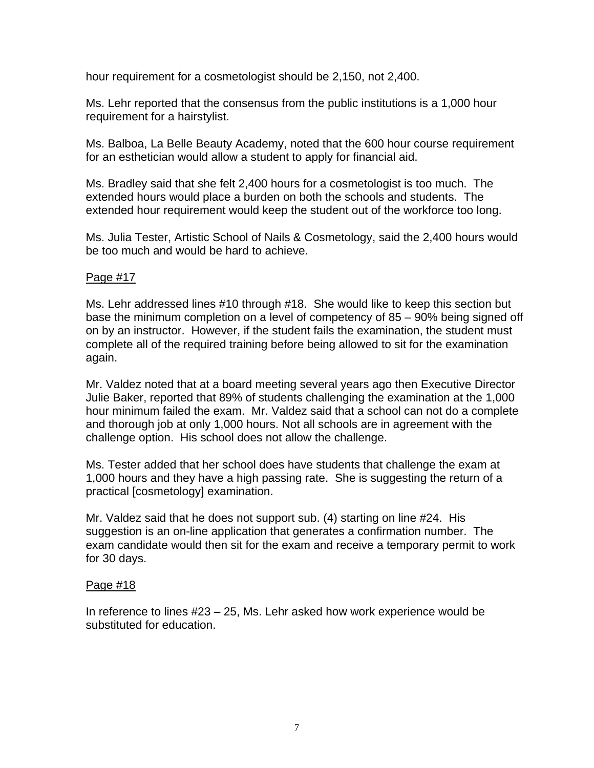hour requirement for a cosmetologist should be 2,150, not 2,400.

Ms. Lehr reported that the consensus from the public institutions is a 1,000 hour requirement for a hairstylist.

Ms. Balboa, La Belle Beauty Academy, noted that the 600 hour course requirement for an esthetician would allow a student to apply for financial aid.

Ms. Bradley said that she felt 2,400 hours for a cosmetologist is too much. The extended hours would place a burden on both the schools and students. The extended hour requirement would keep the student out of the workforce too long.

Ms. Julia Tester, Artistic School of Nails & Cosmetology, said the 2,400 hours would be too much and would be hard to achieve.

## Page #17

Ms. Lehr addressed lines #10 through #18. She would like to keep this section but base the minimum completion on a level of competency of 85 – 90% being signed off on by an instructor. However, if the student fails the examination, the student must complete all of the required training before being allowed to sit for the examination again.

Mr. Valdez noted that at a board meeting several years ago then Executive Director Julie Baker, reported that 89% of students challenging the examination at the 1,000 hour minimum failed the exam. Mr. Valdez said that a school can not do a complete and thorough job at only 1,000 hours. Not all schools are in agreement with the challenge option. His school does not allow the challenge.

Ms. Tester added that her school does have students that challenge the exam at 1,000 hours and they have a high passing rate. She is suggesting the return of a practical [cosmetology] examination.

Mr. Valdez said that he does not support sub. (4) starting on line #24. His suggestion is an on-line application that generates a confirmation number. The exam candidate would then sit for the exam and receive a temporary permit to work for 30 days.

#### Page #18

In reference to lines #23 – 25, Ms. Lehr asked how work experience would be substituted for education.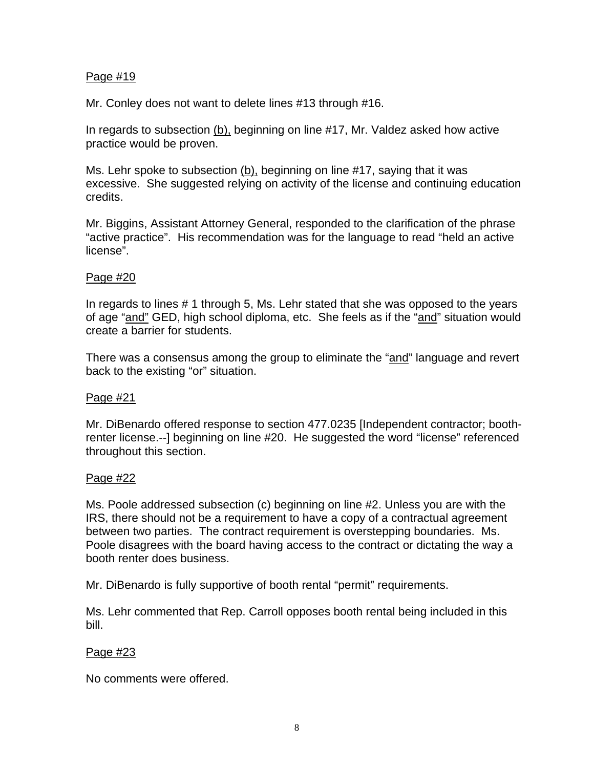# Page #19

Mr. Conley does not want to delete lines #13 through #16.

In regards to subsection (b), beginning on line #17, Mr. Valdez asked how active practice would be proven.

Ms. Lehr spoke to subsection  $(b)$ , beginning on line #17, saying that it was excessive. She suggested relying on activity of the license and continuing education credits.

Mr. Biggins, Assistant Attorney General, responded to the clarification of the phrase "active practice". His recommendation was for the language to read "held an active license".

# Page #20

In regards to lines # 1 through 5, Ms. Lehr stated that she was opposed to the years of age "and" GED, high school diploma, etc. She feels as if the "and" situation would create a barrier for students.

There was a consensus among the group to eliminate the "and" language and revert back to the existing "or" situation.

# Page #21

Mr. DiBenardo offered response to section 477.0235 [Independent contractor; boothrenter license.--] beginning on line #20. He suggested the word "license" referenced throughout this section.

# Page #22

Ms. Poole addressed subsection (c) beginning on line #2. Unless you are with the IRS, there should not be a requirement to have a copy of a contractual agreement between two parties. The contract requirement is overstepping boundaries. Ms. Poole disagrees with the board having access to the contract or dictating the way a booth renter does business.

Mr. DiBenardo is fully supportive of booth rental "permit" requirements.

Ms. Lehr commented that Rep. Carroll opposes booth rental being included in this bill.

# Page #23

No comments were offered.